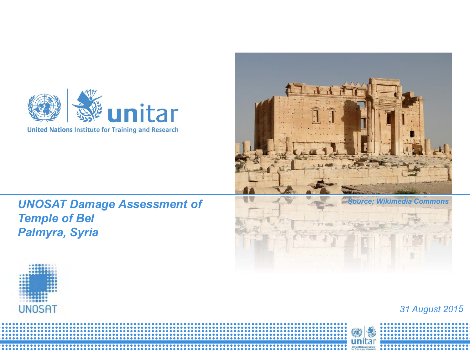



*UNOSAT Damage Assessment of Temple of Bel Palmyra, Syria*





## *31 August 2015*

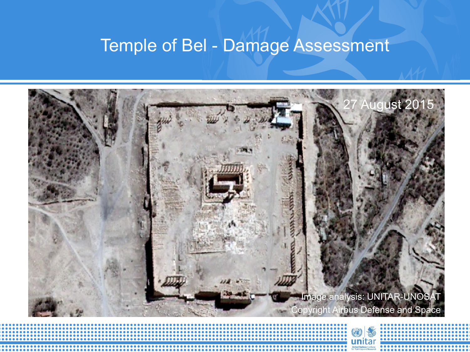## Temple of Bel - Damage Assessment



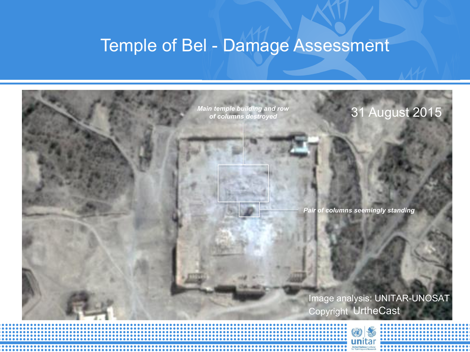## Temple of Bel - Damage Assessment

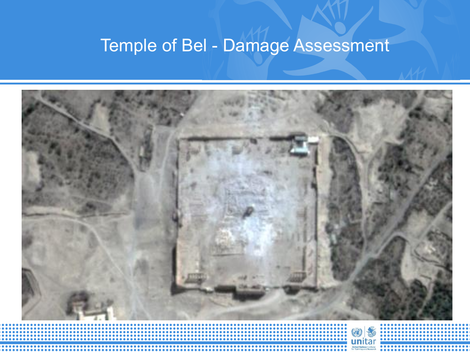## Temple of Bel - Damage Assessment